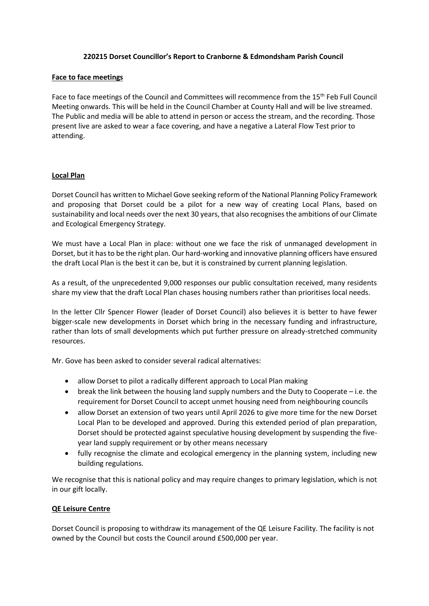#### **220215 Dorset Councillor's Report to Cranborne & Edmondsham Parish Council**

#### **Face to face meetings**

Face to face meetings of the Council and Committees will recommence from the 15<sup>th</sup> Feb Full Council Meeting onwards. This will be held in the Council Chamber at County Hall and will be live streamed. The Public and media will be able to attend in person or access the stream, and the recording. Those present live are asked to wear a face covering, and have a negative a Lateral Flow Test prior to attending.

## **Local Plan**

Dorset Council has written to Michael Gove seeking reform of the National Planning Policy Framework and proposing that Dorset could be a pilot for a new way of creating Local Plans, based on sustainability and local needs over the next 30 years, that also recognises the ambitions of our Climate and Ecological Emergency Strategy.

We must have a Local Plan in place: without one we face the risk of unmanaged development in Dorset, but it has to be the right plan. Our hard-working and innovative planning officers have ensured the draft Local Plan is the best it can be, but it is constrained by current planning legislation.

As a result, of the unprecedented 9,000 responses our public consultation received, many residents share my view that the draft Local Plan chases housing numbers rather than prioritises local needs.

In the letter Cllr Spencer Flower (leader of Dorset Council) also believes it is better to have fewer bigger-scale new developments in Dorset which bring in the necessary funding and infrastructure, rather than lots of small developments which put further pressure on already-stretched community resources.

Mr. Gove has been asked to consider several radical alternatives:

- allow Dorset to pilot a radically different approach to Local Plan making
- break the link between the housing land supply numbers and the Duty to Cooperate i.e. the requirement for Dorset Council to accept unmet housing need from neighbouring councils
- allow Dorset an extension of two years until April 2026 to give more time for the new Dorset Local Plan to be developed and approved. During this extended period of plan preparation, Dorset should be protected against speculative housing development by suspending the fiveyear land supply requirement or by other means necessary
- fully recognise the climate and ecological emergency in the planning system, including new building regulations.

We recognise that this is national policy and may require changes to primary legislation, which is not in our gift locally.

#### **QE Leisure Centre**

Dorset Council is proposing to withdraw its management of the QE Leisure Facility. The facility is not owned by the Council but costs the Council around £500,000 per year.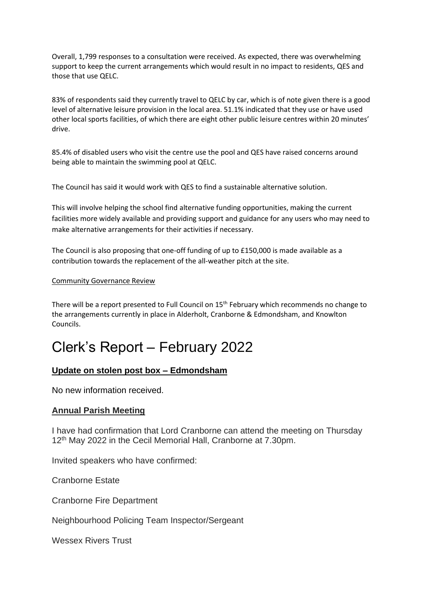Overall, 1,799 responses to a consultation were received. As expected, there was overwhelming support to keep the current arrangements which would result in no impact to residents, [QES](https://www.queenelizabeths.com/) and those that use [QELC.](https://www.dorsetcouncil.gov.uk/sport-leisure/leisure-centres/qe-leisure-centre/qe-leisure-centre)

83% of respondents said they currently travel to [QELC](https://www.dorsetcouncil.gov.uk/sport-leisure/leisure-centres/qe-leisure-centre/qe-leisure-centre) by car, which is of note given there is a good level of alternative leisure provision in the local area. 51.1% indicated that they use or have used other local sports facilities, of which there are eight other public leisure centres within 20 minutes' drive.

85.4% of disabled users who visit the centre use the pool and [QES](https://www.queenelizabeths.com/) have raised concerns around being able to maintain the swimming pool at [QELC.](https://www.dorsetcouncil.gov.uk/sport-leisure/leisure-centres/qe-leisure-centre/qe-leisure-centre)

The Council has said it would work with QES to find a sustainable alternative solution.

This will involve helping the school find alternative funding opportunities, making the current facilities more widely available and providing support and guidance for any users who may need to make alternative arrangements for their activities if necessary.

The Council is also proposing that one-off funding of up to £150,000 is made available as a contribution towards the replacement of the all-weather pitch at the site.

### Community Governance Review

There will be a report presented to Full Council on 15<sup>th</sup> February which recommends no change to the arrangements currently in place in Alderholt, Cranborne & Edmondsham, and Knowlton Councils.

# Clerk's Report – February 2022

## **Update on stolen post box – Edmondsham**

No new information received.

## **Annual Parish Meeting**

I have had confirmation that Lord Cranborne can attend the meeting on Thursday 12<sup>th</sup> May 2022 in the Cecil Memorial Hall, Cranborne at 7.30pm.

Invited speakers who have confirmed:

Cranborne Estate

Cranborne Fire Department

Neighbourhood Policing Team Inspector/Sergeant

Wessex Rivers Trust